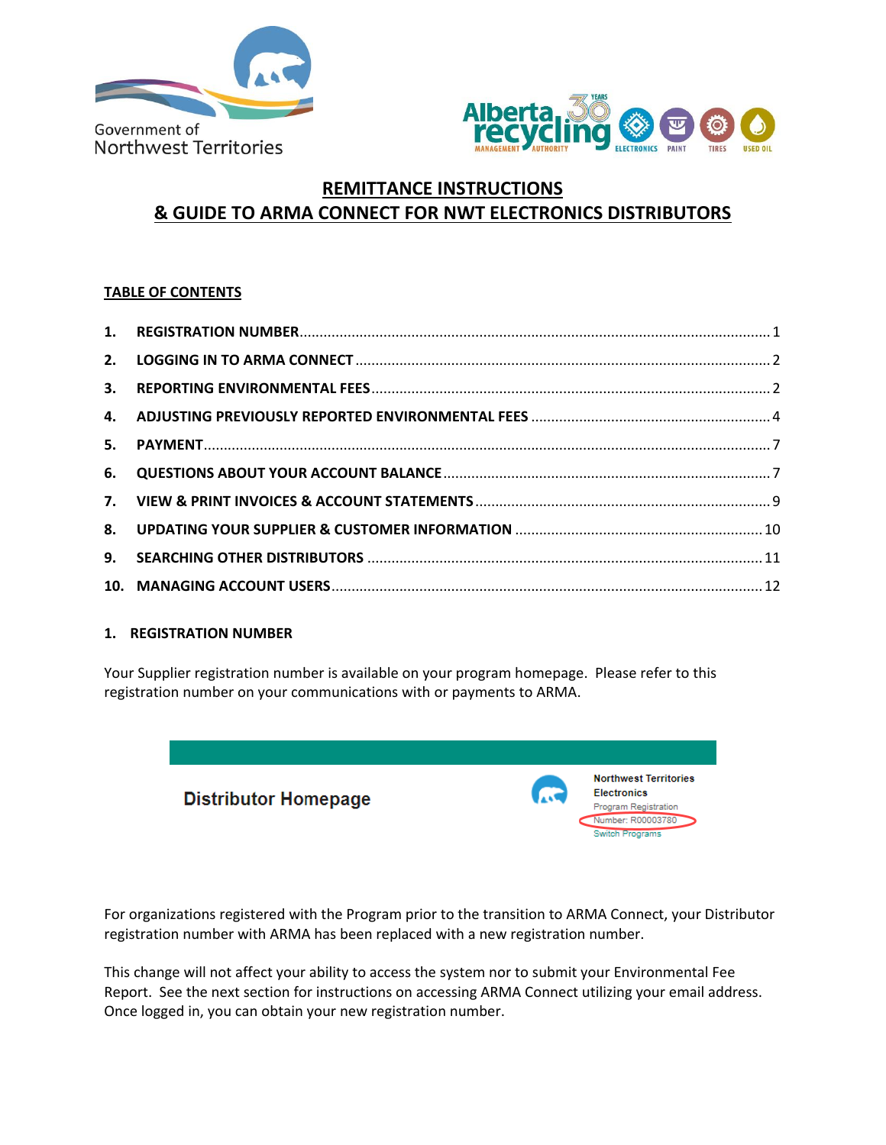



# **REMITTANCE INSTRUCTIONS & GUIDE TO ARMA CONNECT FOR NWT ELECTRONICS DISTRIBUTORS**

## **TABLE OF CONTENTS**

| 2. |  |
|----|--|
|    |  |
|    |  |
|    |  |
|    |  |
|    |  |
|    |  |
| 9. |  |
|    |  |

### <span id="page-0-0"></span>**1. REGISTRATION NUMBER**

Your Supplier registration number is available on your program homepage. Please refer to this registration number on your communications with or payments to ARMA.



For organizations registered with the Program prior to the transition to ARMA Connect, your Distributor registration number with ARMA has been replaced with a new registration number.

This change will not affect your ability to access the system nor to submit your Environmental Fee Report. See the next section for instructions on accessing ARMA Connect utilizing your email address. Once logged in, you can obtain your new registration number.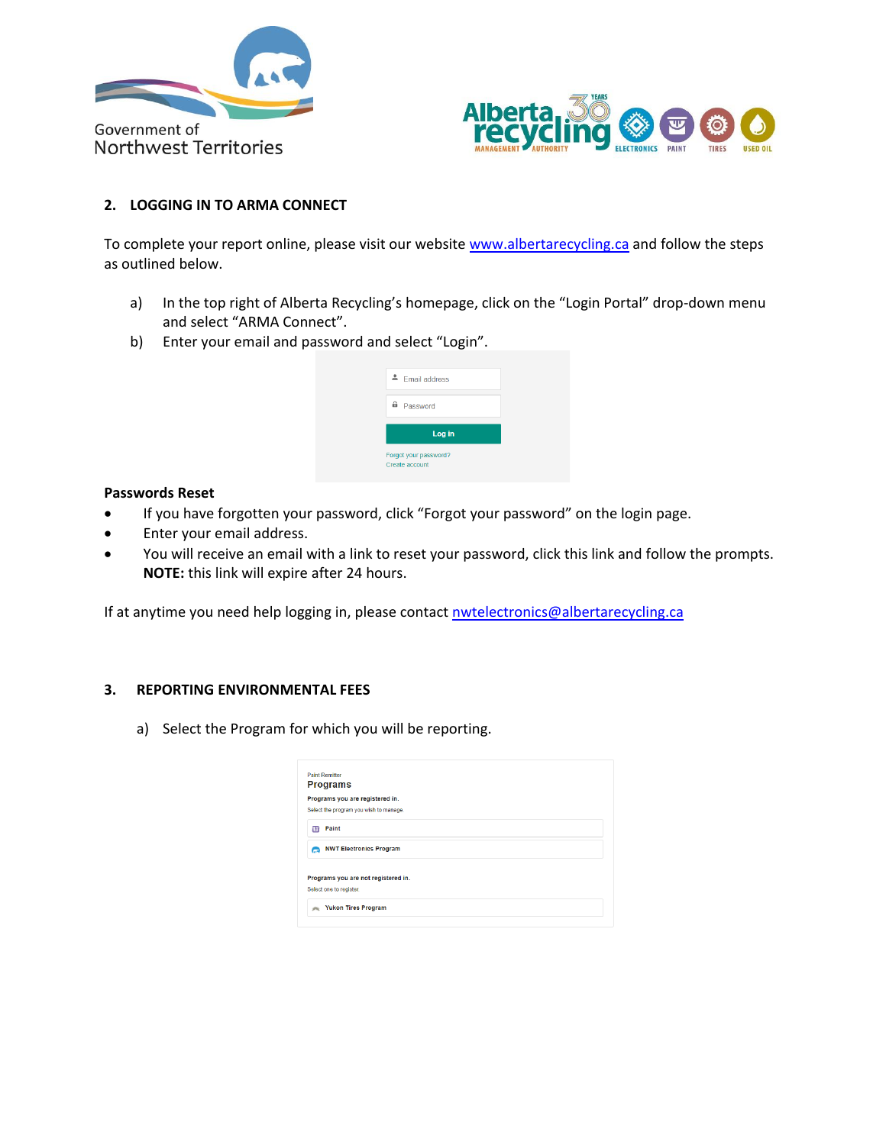



### <span id="page-1-0"></span>**2. LOGGING IN TO ARMA CONNECT**

To complete your report online, please visit our website [www.albertarecycling.ca](http://www.albertarecycling.ca/) and follow the steps as outlined below.

- a) In the top right of Alberta Recycling's homepage, click on the "Login Portal" drop-down menu and select "ARMA Connect".
- b) Enter your email and password and select "Login".

### **Passwords Reset**

- If you have forgotten your password, click "Forgot your password" on the login page.
- Enter your email address.
- You will receive an email with a link to reset your password, click this link and follow the prompts. **NOTE:** this link will expire after 24 hours.

If at anytime you need help logging in, please contac[t nwtelectronics@albertarecycling.ca](mailto:nwtelectronics@albertarecycling.ca)

### <span id="page-1-1"></span>**3. REPORTING ENVIRONMENTAL FEES**

a) Select the Program for which you will be reporting.

|             | <b>Paint Remitter</b><br><b>Programs</b> |  |  |
|-------------|------------------------------------------|--|--|
|             |                                          |  |  |
|             | Programs you are registered in.          |  |  |
|             | Select the program you wish to manage.   |  |  |
| 疳           | Paint                                    |  |  |
|             | NWT Electronics Program                  |  |  |
|             | Programs you are not registered in.      |  |  |
|             | Select one to register.                  |  |  |
| <b>JAKE</b> | <b>Yukon Tires Program</b>               |  |  |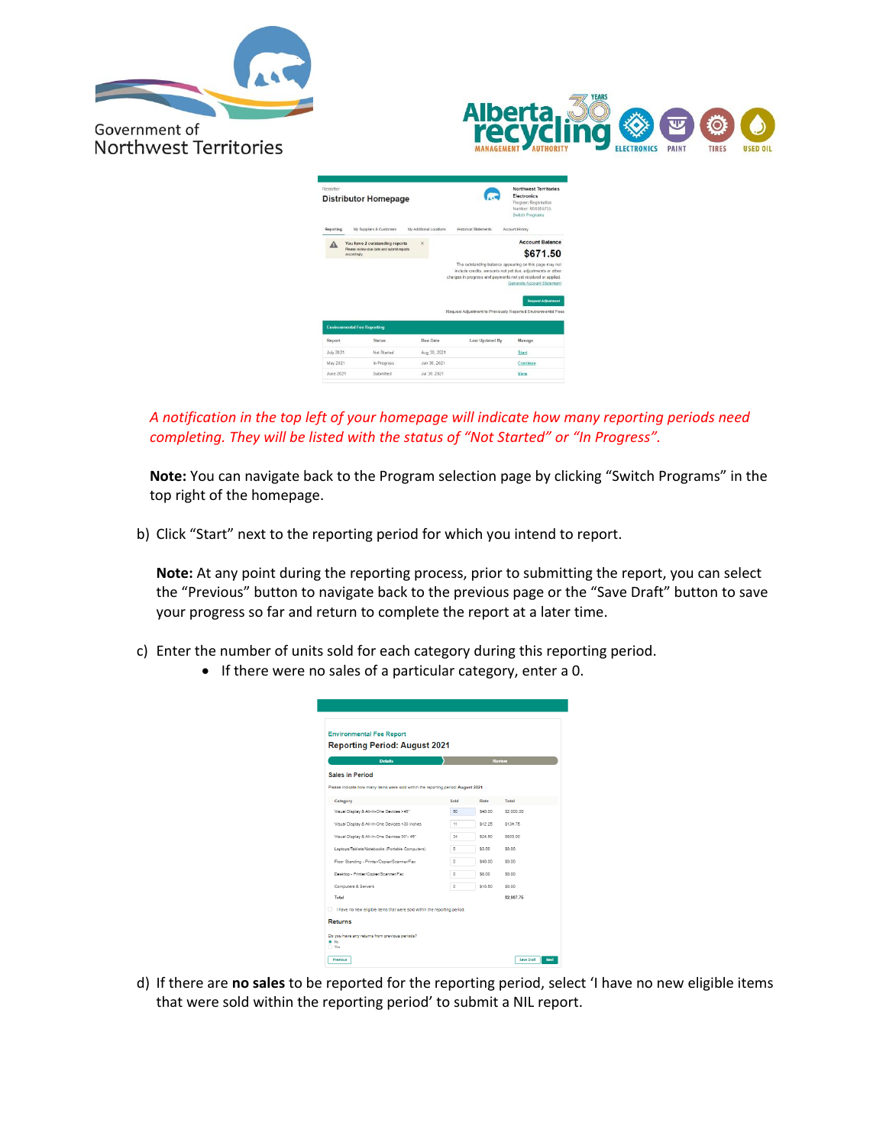



| Remitter  | <b>Distributor Homepage</b>                               |                         |                              | Northwest Territories<br>Flectronics<br>Program Registration<br>Number R00006735<br>Switch Programs                                                                                    |
|-----------|-----------------------------------------------------------|-------------------------|------------------------------|----------------------------------------------------------------------------------------------------------------------------------------------------------------------------------------|
| Reporting | My Suppliers & Customers                                  | My Additional Locations | <b>Historical Statements</b> | Account History                                                                                                                                                                        |
| Δ         | You have 2 outstanding reports                            | $\times$                |                              | <b>Account Balance</b>                                                                                                                                                                 |
|           | Please review due date and submit reports<br>accordingly. |                         |                              | \$671.50                                                                                                                                                                               |
|           |                                                           |                         |                              | include credits, amounts not yet due, adjustments or other<br>charges in progress and payments not yet received or applied.<br>Generate Account Statement<br><b>Request Adjustment</b> |
|           | <b>Environmental Fee Reporting</b>                        |                         |                              | Request Adjustment to Previously Reported Environmental Fees                                                                                                                           |
| Report    | <b>Status</b>                                             | Due Date                | Last Updated By              | Manage                                                                                                                                                                                 |
| July 2021 | Not Started                                               | Aug 30, 2021            |                              | <b>Start</b>                                                                                                                                                                           |
| May 2021  | In Progress                                               | Jun 30, 2021            |                              | Continue                                                                                                                                                                               |
|           |                                                           |                         |                              |                                                                                                                                                                                        |

*A notification in the top left of your homepage will indicate how many reporting periods need completing. They will be listed with the status of "Not Started" or "In Progress".*

**Note:** You can navigate back to the Program selection page by clicking "Switch Programs" in the top right of the homepage.

b) Click "Start" next to the reporting period for which you intend to report.

**Note:** At any point during the reporting process, prior to submitting the report, you can select the "Previous" button to navigate back to the previous page or the "Save Draft" button to save your progress so far and return to complete the report at a later time.

- c) Enter the number of units sold for each category during this reporting period.
	- If there were no sales of a particular category, enter a 0.

| <b>Details</b>                                                                    |      |         | Review     |
|-----------------------------------------------------------------------------------|------|---------|------------|
| <b>Sales in Period</b>                                                            |      |         |            |
| Please indicate how many items were sold within the reporting period: August 2021 |      |         |            |
| Category                                                                          | Sold | Rate    | Total      |
| Visual Disolay & All-In-One Devices >45"                                          | 50   | \$40.00 | \$2,000.00 |
| Visual Display & All-In-One Devices <30 inches                                    | 11   | \$12.25 | \$134.75   |
| Visual Disolay & All-In-One Devices 30"- 45"                                      | 34   | \$24.50 | \$833.00   |
| Laptoos/Tablets/Notebooks (Portable Computers)                                    | ٥    | \$3.00  | \$0.00     |
| Floor Standing - Printer/Copier/Scanner/Fax                                       | ٥    | \$40.00 | \$0.00     |
| Desktop - Printer/Copier/Scanner/Fax                                              | ö    | \$8.00  | \$0.00     |
| Computers & Servers                                                               | ٥    | \$10.50 | \$0.00     |
| Total                                                                             |      |         | \$2,967.75 |

d) If there are **no sales** to be reported for the reporting period, select 'I have no new eligible items that were sold within the reporting period' to submit a NIL report.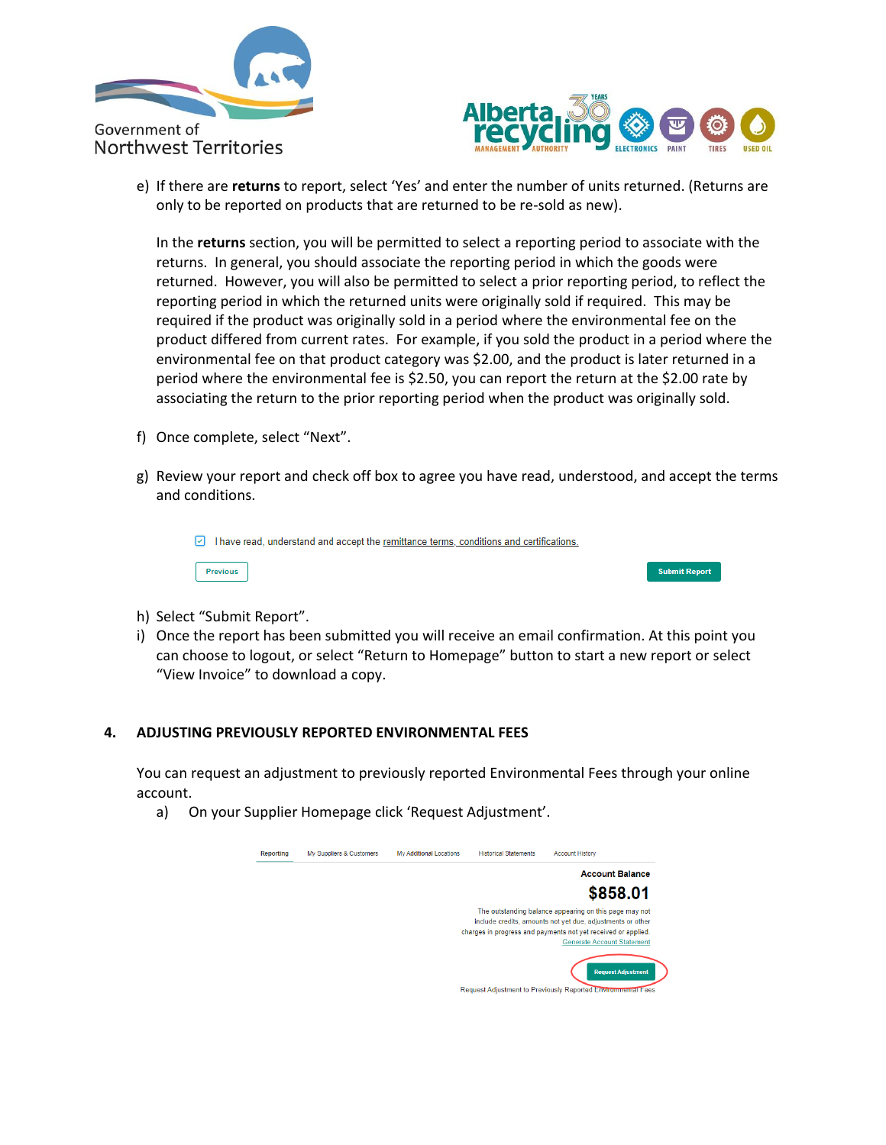



e) If there are **returns** to report, select 'Yes' and enter the number of units returned. (Returns are only to be reported on products that are returned to be re-sold as new).

In the **returns** section, you will be permitted to select a reporting period to associate with the returns. In general, you should associate the reporting period in which the goods were returned. However, you will also be permitted to select a prior reporting period, to reflect the reporting period in which the returned units were originally sold if required. This may be required if the product was originally sold in a period where the environmental fee on the product differed from current rates. For example, if you sold the product in a period where the environmental fee on that product category was \$2.00, and the product is later returned in a period where the environmental fee is \$2.50, you can report the return at the \$2.00 rate by associating the return to the prior reporting period when the product was originally sold.

- f) Once complete, select "Next".
- g) Review your report and check off box to agree you have read, understood, and accept the terms and conditions.

I have read, understand and accept the remittance terms, conditions and certifications.



**Submit Report** 

- h) Select "Submit Report".
- i) Once the report has been submitted you will receive an email confirmation. At this point you can choose to logout, or select "Return to Homepage" button to start a new report or select "View Invoice" to download a copy.

### <span id="page-3-0"></span>**4. ADJUSTING PREVIOUSLY REPORTED ENVIRONMENTAL FEES**

You can request an adjustment to previously reported Environmental Fees through your online account.

a) On your Supplier Homepage click 'Request Adjustment'.

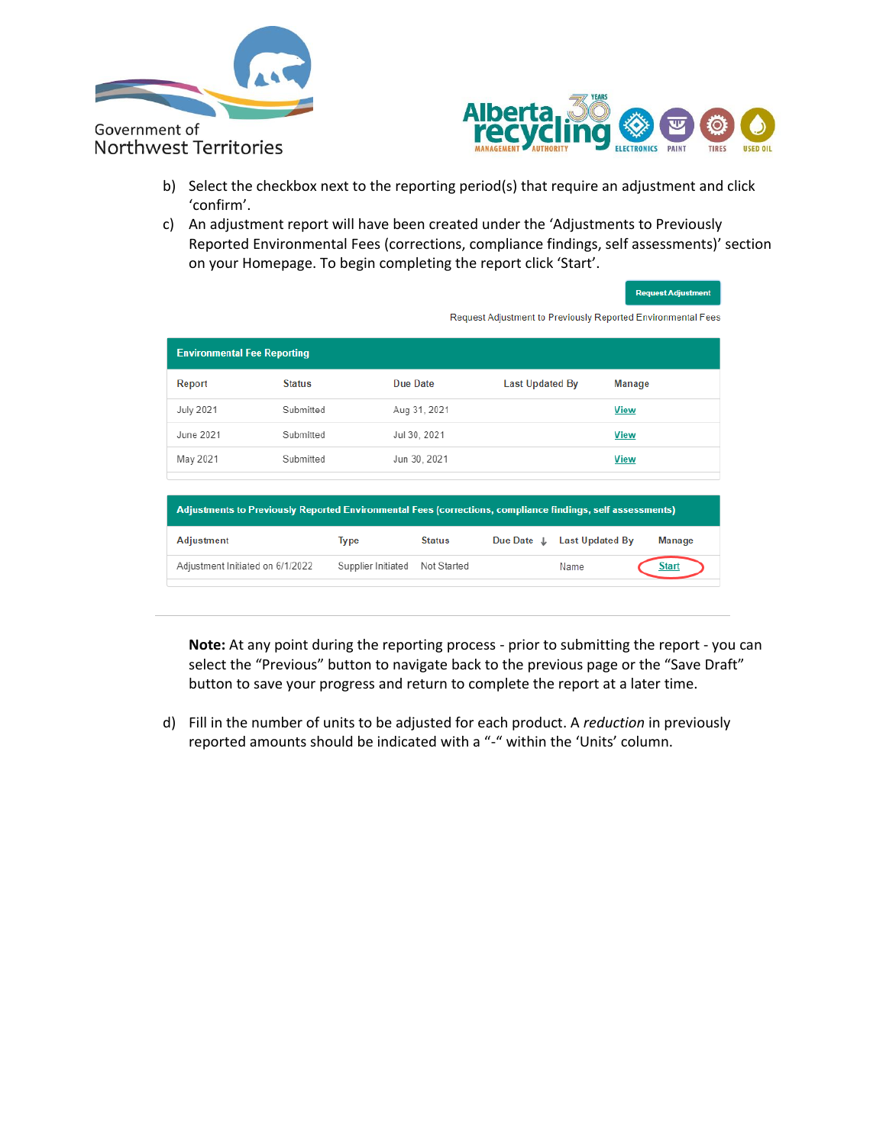



- b) Select the checkbox next to the reporting period(s) that require an adjustment and click 'confirm'.
- c) An adjustment report will have been created under the 'Adjustments to Previously Reported Environmental Fees (corrections, compliance findings, self assessments)' section on your Homepage. To begin completing the report click 'Start'.

| <b>Request Adjustment</b> |  |
|---------------------------|--|

Request Adjustment to Previously Reported Environmental Fees

| <b>Environmental Fee Reporting</b> |               |              |                 |             |
|------------------------------------|---------------|--------------|-----------------|-------------|
| Report                             | <b>Status</b> | Due Date     | Last Updated By | Manage      |
| <b>July 2021</b>                   | Submitted     | Aug 31, 2021 |                 | <b>View</b> |
| June 2021                          | Submitted     | Jul 30, 2021 |                 | <b>View</b> |
| May 2021                           | Submitted     | Jun 30, 2021 |                 | <b>View</b> |
|                                    |               |              |                 |             |
|                                    |               |              |                 |             |

| Adjustments to Previously Reported Environmental Fees (corrections, compliance findings, self assessments) |                    |               |            |                 |              |  |  |  |
|------------------------------------------------------------------------------------------------------------|--------------------|---------------|------------|-----------------|--------------|--|--|--|
| <b>Adjustment</b>                                                                                          | Type               | <b>Status</b> | Due Date J | Last Updated By | Manage       |  |  |  |
| Adjustment Initiated on 6/1/2022                                                                           | Supplier Initiated | Not Started   |            | Name            | <b>Start</b> |  |  |  |

**Note:** At any point during the reporting process - prior to submitting the report - you can select the "Previous" button to navigate back to the previous page or the "Save Draft" button to save your progress and return to complete the report at a later time.

d) Fill in the number of units to be adjusted for each product. A *reduction* in previously reported amounts should be indicated with a "-" within the 'Units' column.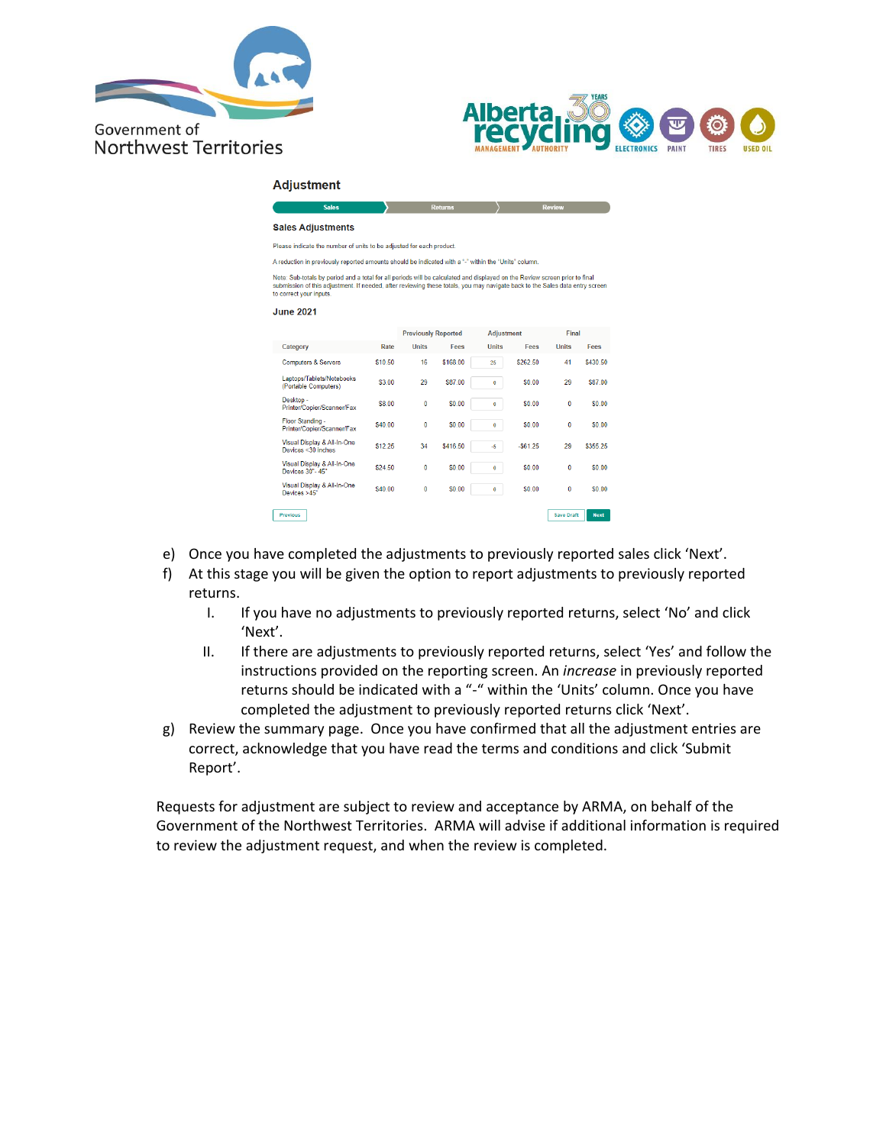



### **Adjustment**

| <b>Sales Adjustments</b> |  |
|--------------------------|--|
|                          |  |

Please indicate the number of units to be adjusted for each product.

A reduction in previously reported amounts should be indicated with a "-" within the "Units" column.

Note: Sub-totals by period and a total for all periods will be calculated and displayed on the Review screen prior to final<br>submission of this adjustment. If needed, after reviewing these totals, you may navigate back to t

#### **June 2021**

|                                                   |         | <b>Previously Reported</b> |          | <b>Adjustment</b>   |           | Final             |             |
|---------------------------------------------------|---------|----------------------------|----------|---------------------|-----------|-------------------|-------------|
| Category                                          | Rate    | <b>Units</b>               | Fees     | <b>Ilnits</b>       | Fees      | <b>Units</b>      | Fees        |
| <b>Computers &amp; Servers</b>                    | \$10.50 | 16                         | \$168.00 | 25                  | \$262.50  | 41                | \$430.50    |
| Laptops/Tablets/Notebooks<br>(Portable Computers) | \$3.00  | 29                         | \$87.00  | $\ddot{\mathbf{0}}$ | \$0.00    | 29                | \$87.00     |
| Desktop -<br>Printer/Copier/Scanner/Fax           | \$8.00  | 0                          | \$0.00   | $\bullet$           | \$0.00    | 0                 | \$0.00      |
| Floor Standing -<br>Printer/Copier/Scanner/Fax    | \$40.00 | 0                          | \$0.00   | $\bullet$           | \$0.00    | 0                 | \$0.00      |
| Visual Display & All-In-One<br>Devices <30 inches | \$12.25 | 34                         | \$416.50 | -5                  | $-561.25$ | 29                | \$355.25    |
| Visual Display & All-In-One<br>Devices 30"-45"    | \$24.50 | 0                          | \$0.00   | $\bullet$           | \$0.00    | 0                 | \$0.00      |
| Visual Display & All-In-One<br>Devices >45"       | \$40.00 | 0                          | \$0.00   | $\bf{0}$            | \$0.00    | 0                 | \$0.00      |
| Previous                                          |         |                            |          |                     |           | <b>Save Draft</b> | <b>Next</b> |

- e) Once you have completed the adjustments to previously reported sales click 'Next'.
- f) At this stage you will be given the option to report adjustments to previously reported returns.
	- I. If you have no adjustments to previously reported returns, select 'No' and click 'Next'.
	- II. If there are adjustments to previously reported returns, select 'Yes' and follow the instructions provided on the reporting screen. An *increase* in previously reported returns should be indicated with a "-" within the 'Units' column. Once you have completed the adjustment to previously reported returns click 'Next'.
- g) Review the summary page. Once you have confirmed that all the adjustment entries are correct, acknowledge that you have read the terms and conditions and click 'Submit Report'.

Requests for adjustment are subject to review and acceptance by ARMA, on behalf of the Government of the Northwest Territories. ARMA will advise if additional information is required to review the adjustment request, and when the review is completed.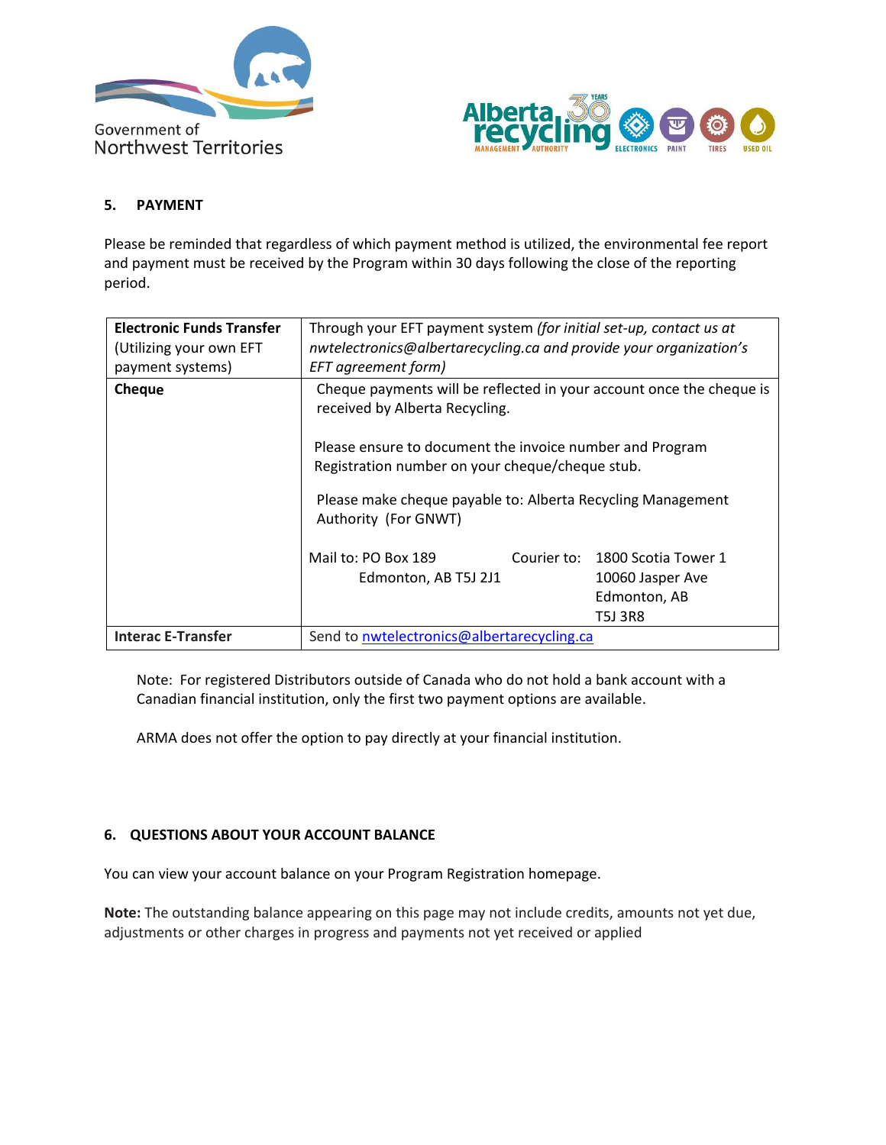



### <span id="page-6-0"></span>**5. PAYMENT**

Please be reminded that regardless of which payment method is utilized, the environmental fee report and payment must be received by the Program within 30 days following the close of the reporting period.

| <b>Electronic Funds Transfer</b><br>(Utilizing your own EFT<br>payment systems) | Through your EFT payment system (for initial set-up, contact us at<br>nwtelectronics@albertarecycling.ca and provide your organization's<br>EFT agreement form)                                                                                                                                                                                             |                                                                                |  |  |  |  |
|---------------------------------------------------------------------------------|-------------------------------------------------------------------------------------------------------------------------------------------------------------------------------------------------------------------------------------------------------------------------------------------------------------------------------------------------------------|--------------------------------------------------------------------------------|--|--|--|--|
| <b>Cheque</b>                                                                   | Cheque payments will be reflected in your account once the cheque is<br>received by Alberta Recycling.<br>Please ensure to document the invoice number and Program<br>Registration number on your cheque/cheque stub.<br>Please make cheque payable to: Alberta Recycling Management<br>Authority (For GNWT)<br>Mail to: PO Box 189<br>Edmonton, AB T5J 2J1 | Courier to: 1800 Scotia Tower 1<br>10060 Jasper Ave<br>Edmonton, AB<br>T5J 3R8 |  |  |  |  |
| <b>Interac E-Transfer</b>                                                       | Send to nwtelectronics@albertarecycling.ca                                                                                                                                                                                                                                                                                                                  |                                                                                |  |  |  |  |

Note: For registered Distributors outside of Canada who do not hold a bank account with a Canadian financial institution, only the first two payment options are available.

ARMA does not offer the option to pay directly at your financial institution.

### <span id="page-6-1"></span>**6. QUESTIONS ABOUT YOUR ACCOUNT BALANCE**

You can view your account balance on your Program Registration homepage.

**Note:** The outstanding balance appearing on this page may not include credits, amounts not yet due, adjustments or other charges in progress and payments not yet received or applied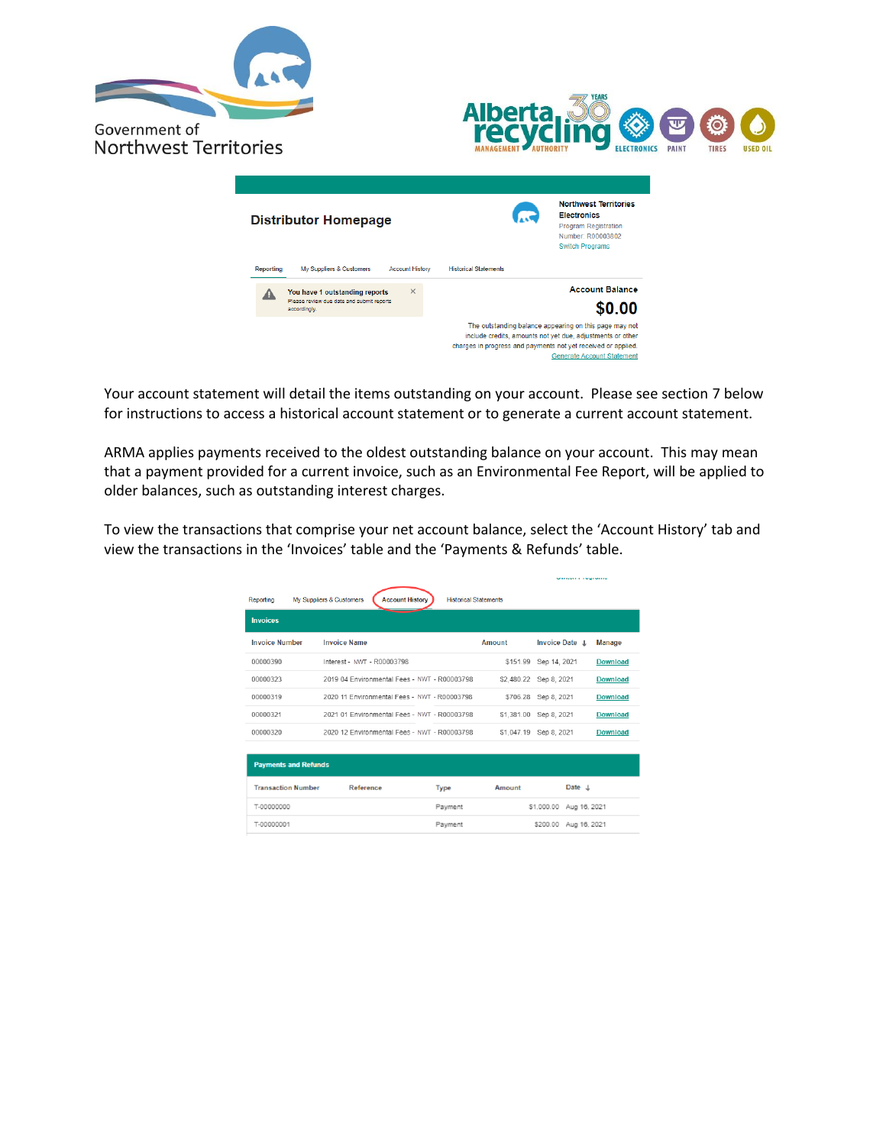





Your account statement will detail the items outstanding on your account. Please see section 7 below for instructions to access a historical account statement or to generate a current account statement.

ARMA applies payments received to the oldest outstanding balance on your account. This may mean that a payment provided for a current invoice, such as an Environmental Fee Report, will be applied to older balances, such as outstanding interest charges.

To view the transactions that comprise your net account balance, select the 'Account History' tab and view the transactions in the 'Invoices' table and the 'Payments & Refunds' table.

|                             |                                                    |                              |               |                         | Services and a services of the |  |  |
|-----------------------------|----------------------------------------------------|------------------------------|---------------|-------------------------|--------------------------------|--|--|
| Reporting                   | <b>Account History</b><br>My Suppliers & Customers | <b>Historical Statements</b> |               |                         |                                |  |  |
| <b>Invoices</b>             |                                                    |                              |               |                         |                                |  |  |
| <b>Invoice Number</b>       | <b>Invoice Name</b>                                |                              | <b>Amount</b> | Invoice Date L          | <b>Manage</b>                  |  |  |
| 00000390                    | Interest - NWT - R00003798                         |                              |               | \$151.99 Sep 14, 2021   | <b>Download</b>                |  |  |
| 00000323                    | 2019 04 Environmental Fees - NWT - R00003798       |                              |               | \$2.480.22 Sep 8. 2021  | Download                       |  |  |
| 00000319                    | 2020 11 Environmental Fees - NWT - R00003798       |                              |               | \$706.28 Sep 8, 2021    | <b>Download</b>                |  |  |
| 00000321                    | 2021 01 Environmental Fees - NWT - R00003798       |                              |               | \$1,381.00 Sep 8, 2021  | <b>Download</b>                |  |  |
| 00000320                    | 2020 12 Environmental Fees - NWT - R00003798       |                              |               | \$1.047.19 Sep 8. 2021  | Download                       |  |  |
| <b>Payments and Refunds</b> |                                                    |                              |               |                         |                                |  |  |
| <b>Transaction Number</b>   | Reference                                          | <b>Type</b>                  | Amount        | Date $\perp$            |                                |  |  |
| T-00000000                  |                                                    | Payment                      |               | \$1,000.00 Aug 16, 2021 |                                |  |  |
| T-00000001                  |                                                    | Payment                      |               | \$200.00 Aug 16, 2021   |                                |  |  |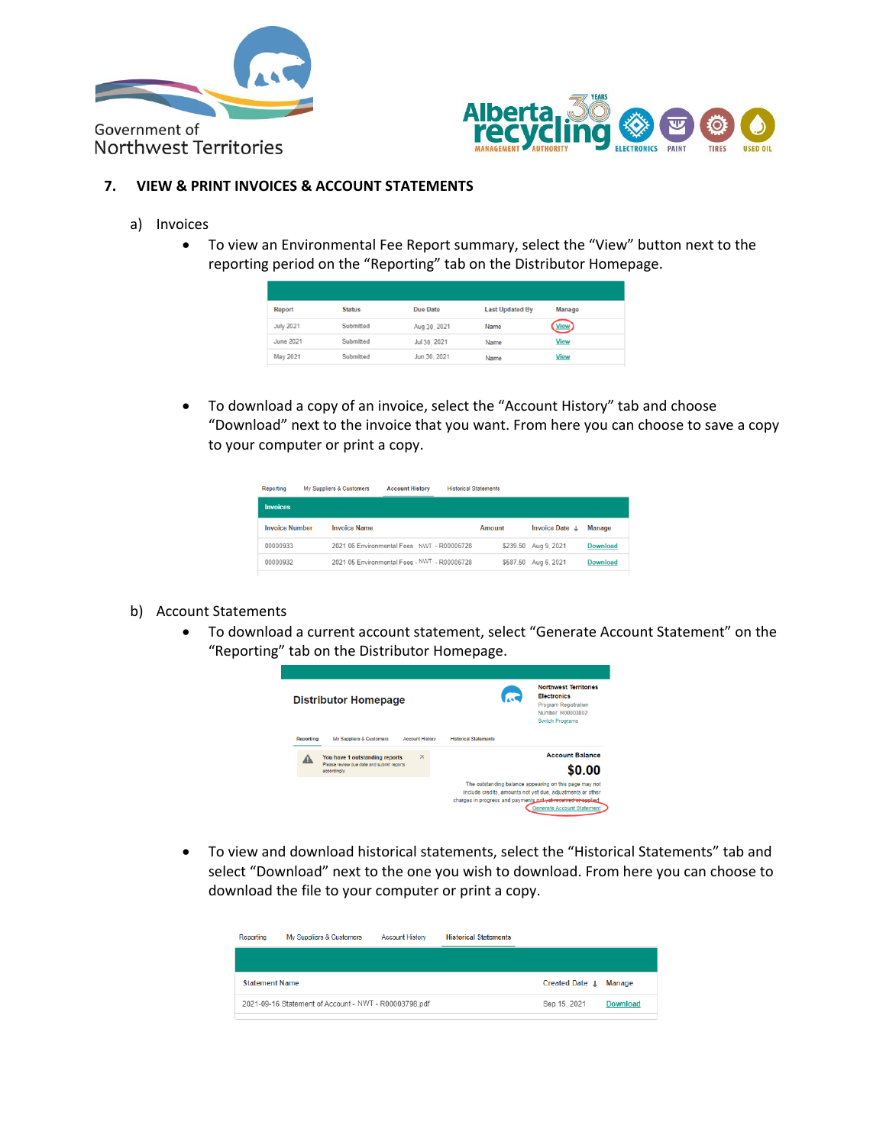



### <span id="page-8-0"></span>**7. VIEW & PRINT INVOICES & ACCOUNT STATEMENTS**

- a) Invoices
	- To view an Environmental Fee Report summary, select the "View" button next to the reporting period on the "Reporting" tab on the Distributor Homepage.

| Report           | <b>Status</b> | <b>Due Date</b> | <b>Last Updated By</b> | Manage          |
|------------------|---------------|-----------------|------------------------|-----------------|
| July 2021        | Submitted     | Aug 30, 2021    | Name                   | ( <u>View</u> ) |
| <b>June 2021</b> | Submitted     | Jul 30, 2021    | Name                   | <b>View</b>     |
| May 2021         | Submitted     | Jun 30, 2021    | Name                   | View            |

• To download a copy of an invoice, select the "Account History" tab and choose "Download" next to the invoice that you want. From here you can choose to save a copy to your computer or print a copy.

| Reporting             | My Suppliers & Customers | <b>Account History</b>                       | <b>Historical Statements</b> |          |                      |                 |
|-----------------------|--------------------------|----------------------------------------------|------------------------------|----------|----------------------|-----------------|
| <b>Invoices</b>       |                          |                                              |                              |          |                      |                 |
| <b>Invoice Number</b> | <b>Invoice Name</b>      |                                              | Amount                       |          | Invoice Date $\perp$ | Manage          |
| 00000933              |                          | 2021 06 Environmental Fees NWT - R00006728   |                              |          | \$239.50 Aug 9, 2021 | <b>Download</b> |
| 00000932              |                          | 2021 05 Environmental Fees - NWT - R00006728 |                              | \$587.50 | Aug 6, 2021          | <b>Download</b> |

### b) Account Statements

• To download a current account statement, select "Generate Account Statement" on the "Reporting" tab on the Distributor Homepage.



• To view and download historical statements, select the "Historical Statements" tab and select "Download" next to the one you wish to download. From here you can choose to download the file to your computer or print a copy.

| Reporting             | My Suppliers & Customers                              | <b>Account History</b> | <b>Historical Statements</b> |                           |                 |
|-----------------------|-------------------------------------------------------|------------------------|------------------------------|---------------------------|-----------------|
|                       |                                                       |                        |                              |                           |                 |
| <b>Statement Name</b> |                                                       |                        |                              | Created Date $\downarrow$ | Manage          |
|                       | 2021-09-16 Statement of Account - NWT - R00003798.pdf |                        |                              | Sep 15, 2021              | <b>Download</b> |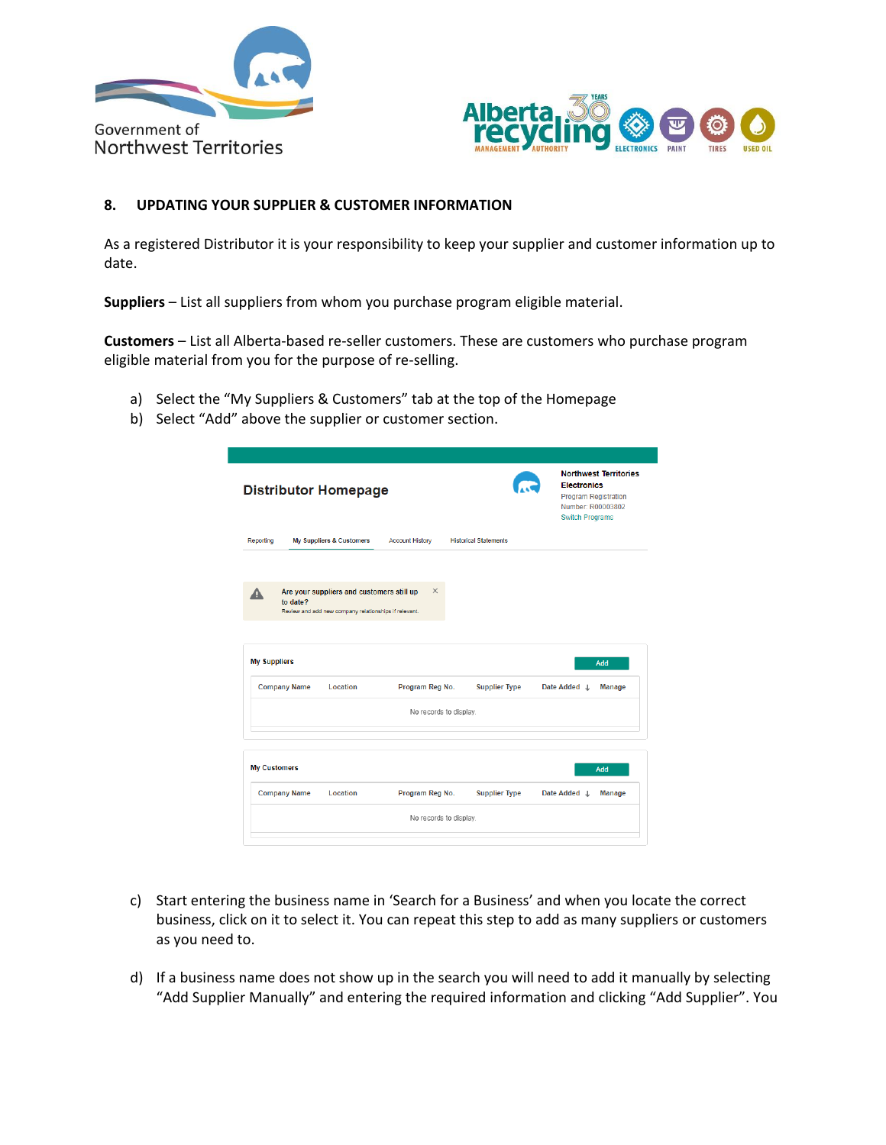



### <span id="page-9-0"></span>**8. UPDATING YOUR SUPPLIER & CUSTOMER INFORMATION**

As a registered Distributor it is your responsibility to keep your supplier and customer information up to date.

**Suppliers** – List all suppliers from whom you purchase program eligible material.

**Customers** – List all Alberta-based re-seller customers. These are customers who purchase program eligible material from you for the purpose of re-selling.

- a) Select the "My Suppliers & Customers" tab at the top of the Homepage
- b) Select "Add" above the supplier or customer section.

|                                            | <b>Distributor Homepage</b>                                                                        |                        |                              | <b>Northwest Territories</b><br><b>Electronics</b><br><b>Program Registration</b><br>Number: R00003802<br><b>Switch Programs</b> |
|--------------------------------------------|----------------------------------------------------------------------------------------------------|------------------------|------------------------------|----------------------------------------------------------------------------------------------------------------------------------|
| Reporting                                  | My Suppliers & Customers                                                                           | <b>Account History</b> | <b>Historical Statements</b> |                                                                                                                                  |
| Δ<br>to date?                              | Are your suppliers and customers still up<br>Review and add new company relationships if relevant. | $\times$               |                              |                                                                                                                                  |
|                                            |                                                                                                    |                        |                              |                                                                                                                                  |
| <b>My Suppliers</b><br><b>Company Name</b> | Location                                                                                           | Program Reg No.        | <b>Supplier Type</b>         | Add<br>Date Added J<br><b>Manage</b>                                                                                             |
|                                            |                                                                                                    | No records to display. |                              |                                                                                                                                  |
| <b>My Customers</b>                        |                                                                                                    |                        |                              | Add                                                                                                                              |
| <b>Company Name</b>                        | Location                                                                                           | Program Reg No.        | <b>Supplier Type</b>         | Date Added L<br><b>Manage</b>                                                                                                    |

- c) Start entering the business name in 'Search for a Business' and when you locate the correct business, click on it to select it. You can repeat this step to add as many suppliers or customers as you need to.
- d) If a business name does not show up in the search you will need to add it manually by selecting "Add Supplier Manually" and entering the required information and clicking "Add Supplier". You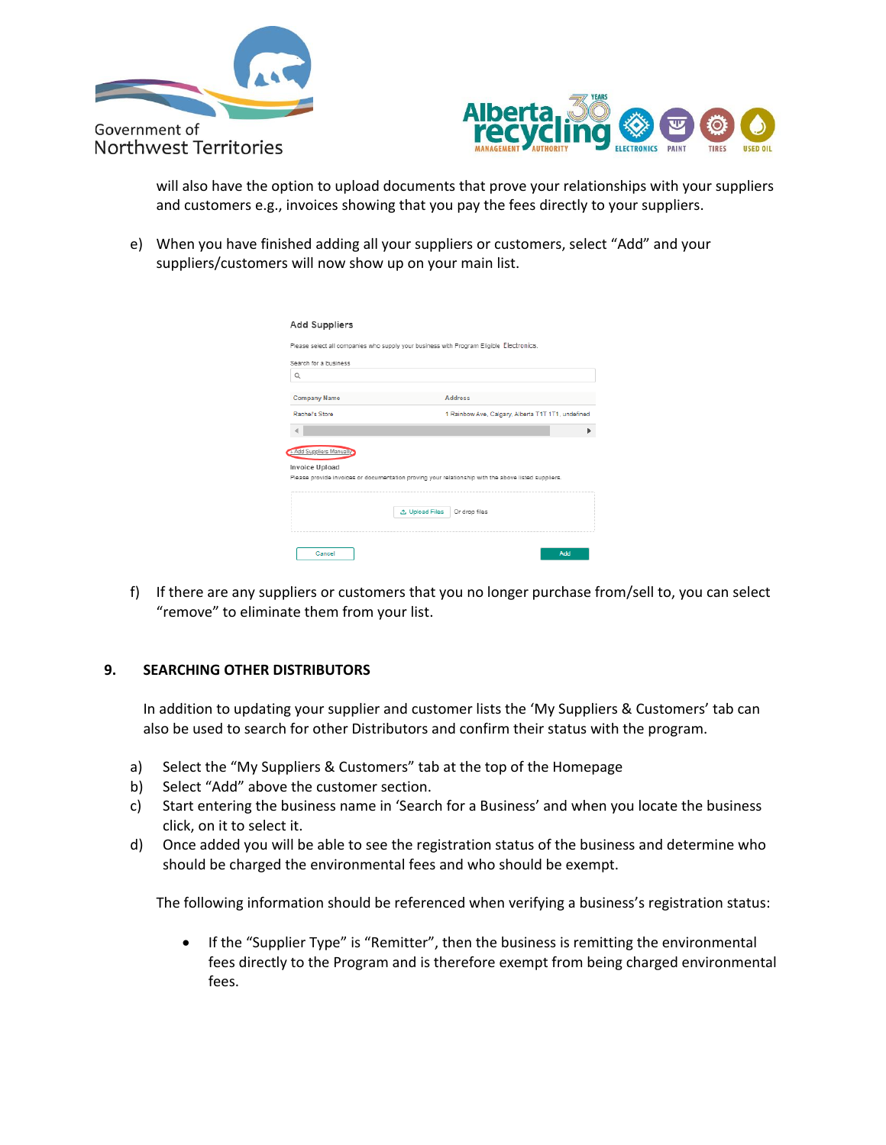



will also have the option to upload documents that prove your relationships with your suppliers and customers e.g., invoices showing that you pay the fees directly to your suppliers.

e) When you have finished adding all your suppliers or customers, select "Add" and your suppliers/customers will now show up on your main list.

| <b>Add Suppliers</b>                       |                                                                                                     |
|--------------------------------------------|-----------------------------------------------------------------------------------------------------|
|                                            | Please select all companies who supply your business with Program Eligible Electronics.             |
| Search for a business                      |                                                                                                     |
| $\alpha$                                   |                                                                                                     |
| <b>Company Name</b>                        | <b>Address</b>                                                                                      |
| Rachel's Store                             | 1 Rainbow Ave, Calgary, Alberta T1T 1T1, undefined                                                  |
|                                            | Þ                                                                                                   |
| + Add Suppliers Manually<br>Invoice Upload | Please provide invoices or documentation proving your relationship with the above listed suppliers. |
|                                            | <b>む Upload Files</b><br>Or drop files                                                              |
|                                            |                                                                                                     |
| Cancel                                     | Add                                                                                                 |

f) If there are any suppliers or customers that you no longer purchase from/sell to, you can select "remove" to eliminate them from your list.

### <span id="page-10-0"></span>**9. SEARCHING OTHER DISTRIBUTORS**

In addition to updating your supplier and customer lists the 'My Suppliers & Customers' tab can also be used to search for other Distributors and confirm their status with the program.

- a) Select the "My Suppliers & Customers" tab at the top of the Homepage
- b) Select "Add" above the customer section.
- c) Start entering the business name in 'Search for a Business' and when you locate the business click, on it to select it.
- d) Once added you will be able to see the registration status of the business and determine who should be charged the environmental fees and who should be exempt.

The following information should be referenced when verifying a business's registration status:

• If the "Supplier Type" is "Remitter", then the business is remitting the environmental fees directly to the Program and is therefore exempt from being charged environmental fees.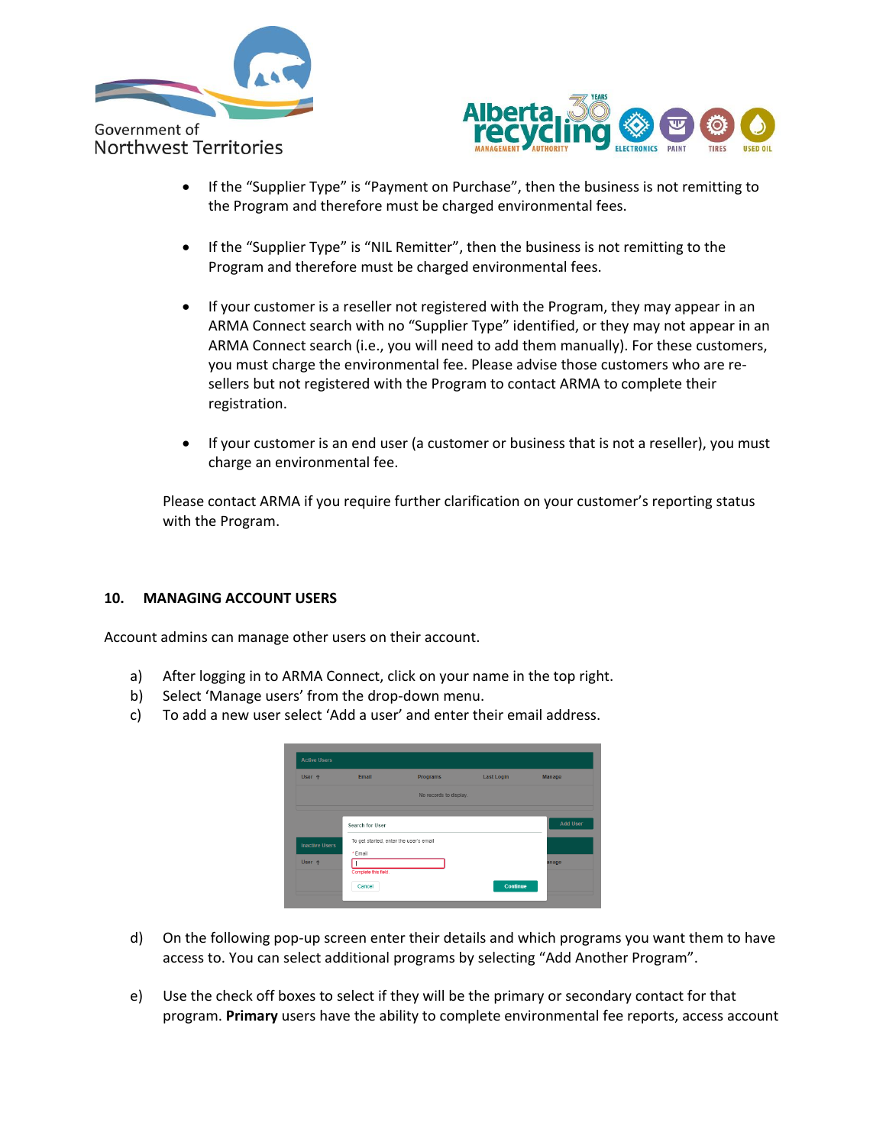



- If the "Supplier Type" is "Payment on Purchase", then the business is not remitting to the Program and therefore must be charged environmental fees.
- If the "Supplier Type" is "NIL Remitter", then the business is not remitting to the Program and therefore must be charged environmental fees.
- If your customer is a reseller not registered with the Program, they may appear in an ARMA Connect search with no "Supplier Type" identified, or they may not appear in an ARMA Connect search (i.e., you will need to add them manually). For these customers, you must charge the environmental fee. Please advise those customers who are resellers but not registered with the Program to contact ARMA to complete their registration.
- If your customer is an end user (a customer or business that is not a reseller), you must charge an environmental fee.

Please contact ARMA if you require further clarification on your customer's reporting status with the Program.

### <span id="page-11-0"></span>**10. MANAGING ACCOUNT USERS**

Account admins can manage other users on their account.

- a) After logging in to ARMA Connect, click on your name in the top right.
- b) Select 'Manage users' from the drop-down menu.
- c) To add a new user select 'Add a user' and enter their email address.

| User +                | Email                                  | Programs               | <b>Last Login</b> | Manage          |
|-----------------------|----------------------------------------|------------------------|-------------------|-----------------|
|                       |                                        | No records to display. |                   |                 |
|                       |                                        |                        |                   |                 |
|                       | Search for User                        |                        |                   | <b>Add User</b> |
|                       | To get started, enter the user's email |                        |                   |                 |
| <b>Inactive Users</b> | *Email                                 |                        |                   |                 |
|                       |                                        |                        |                   |                 |
| User +                |                                        |                        |                   | anage           |

- d) On the following pop-up screen enter their details and which programs you want them to have access to. You can select additional programs by selecting "Add Another Program".
- e) Use the check off boxes to select if they will be the primary or secondary contact for that program. **Primary** users have the ability to complete environmental fee reports, access account